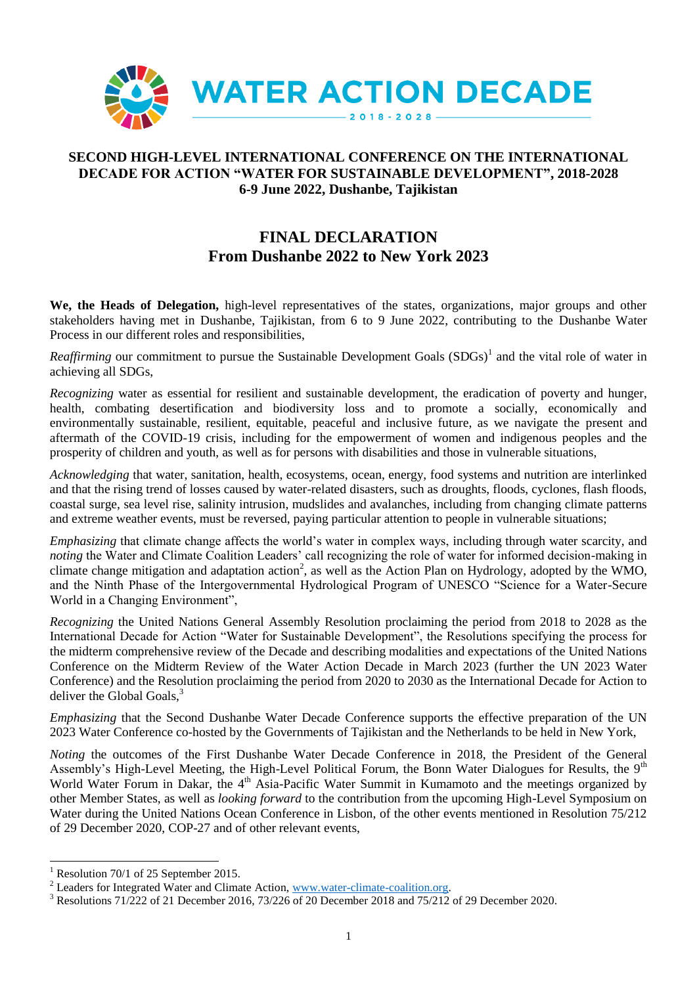

# **SECOND HIGH-LEVEL INTERNATIONAL CONFERENCE ON THE INTERNATIONAL DECADE FOR ACTION "WATER FOR SUSTAINABLE DEVELOPMENT", 2018-2028 6-9 June 2022, Dushanbe, Tajikistan**

# **FINAL DECLARATION From Dushanbe 2022 to New York 2023**

**We, the Heads of Delegation,** high-level representatives of the states, organizations, major groups and other stakeholders having met in Dushanbe, Tajikistan, from 6 to 9 June 2022, contributing to the Dushanbe Water Process in our different roles and responsibilities,

*Reaffirming* our commitment to pursue the Sustainable Development Goals (SDGs)<sup>1</sup> and the vital role of water in achieving all SDGs,

*Recognizing* water as essential for resilient and sustainable development, the eradication of poverty and hunger, health, combating desertification and biodiversity loss and to promote a socially, economically and environmentally sustainable, resilient, equitable, peaceful and inclusive future, as we navigate the present and aftermath of the COVID-19 crisis, including for the empowerment of women and indigenous peoples and the prosperity of children and youth, as well as for persons with disabilities and those in vulnerable situations,

*Acknowledging* that water, sanitation, health, ecosystems, ocean, energy, food systems and nutrition are interlinked and that the rising trend of losses caused by water-related disasters, such as droughts, floods, cyclones, flash floods, coastal surge, sea level rise, salinity intrusion, mudslides and avalanches, including from changing climate patterns and extreme weather events, must be reversed, paying particular attention to people in vulnerable situations;

*Emphasizing* that climate change affects the world's water in complex ways, including through water scarcity, and *noting* the Water and Climate Coalition Leaders' call recognizing the role of water for informed decision-making in climate change mitigation and adaptation action<sup>2</sup>, as well as the Action Plan on Hydrology, adopted by the WMO, and the Ninth Phase of the Intergovernmental Hydrological Program of UNESCO "Science for a Water-Secure World in a Changing Environment",

*Recognizing* the United Nations General Assembly Resolution proclaiming the period from 2018 to 2028 as the International Decade for Action "Water for Sustainable Development", the Resolutions specifying the process for the midterm comprehensive review of the Decade and describing modalities and expectations of the United Nations Conference on the Midterm Review of the Water Action Decade in March 2023 (further the UN 2023 Water Conference) and the Resolution proclaiming the period from 2020 to 2030 as the International Decade for Action to deliver the Global Goals,<sup>3</sup>

*Emphasizing* that the Second Dushanbe Water Decade Conference supports the effective preparation of the UN 2023 Water Conference co-hosted by the Governments of Tajikistan and the Netherlands to be held in New York,

*Noting* the outcomes of the First Dushanbe Water Decade Conference in 2018, the President of the General Assembly's High-Level Meeting, the High-Level Political Forum, the Bonn Water Dialogues for Results, the 9<sup>th</sup> World Water Forum in Dakar, the 4<sup>th</sup> Asia-Pacific Water Summit in Kumamoto and the meetings organized by other Member States, as well as *looking forward* to the contribution from the upcoming High-Level Symposium on Water during the United Nations Ocean Conference in Lisbon, of the other events mentioned in Resolution 75/212 of 29 December 2020, COP-27 and of other relevant events,

l

<sup>&</sup>lt;sup>1</sup> Resolution 70/1 of 25 September 2015.

<sup>&</sup>lt;sup>2</sup> Leaders for Integrated Water and Climate Action, [www.water-climate-coalition.org.](http://www.water-climate-coalition.org/wcc/wp-content/uploads/2022/03/Call_for_action.pdf)

<sup>3</sup> Resolutions 71/222 of 21 December 2016, 73/226 of 20 December 2018 and 75/212 of 29 December 2020.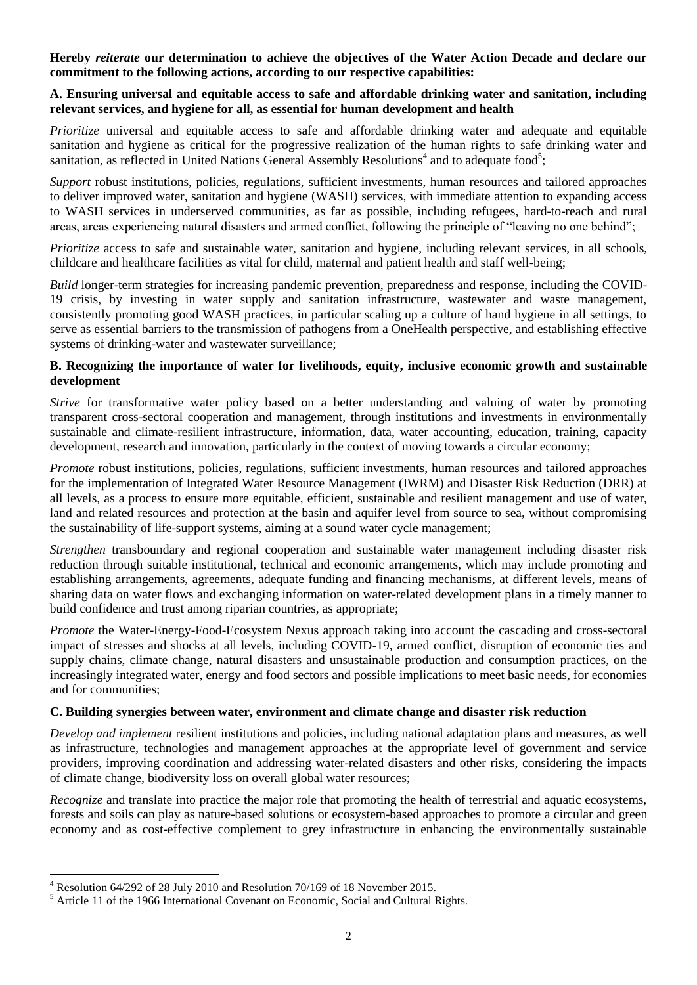**Hereby** *reiterate* **our determination to achieve the objectives of the Water Action Decade and declare our commitment to the following actions, according to our respective capabilities:**

# **A. Ensuring universal and equitable access to safe and affordable drinking water and sanitation, including relevant services, and hygiene for all, as essential for human development and health**

*Prioritize* universal and equitable access to safe and affordable drinking water and adequate and equitable sanitation and hygiene as critical for the progressive realization of the human rights to safe drinking water and sanitation, as reflected in United Nations General Assembly Resolutions<sup>4</sup> and to adequate food<sup>5</sup>;

*Support* robust institutions, policies, regulations, sufficient investments, human resources and tailored approaches to deliver improved water, sanitation and hygiene (WASH) services, with immediate attention to expanding access to WASH services in underserved communities, as far as possible, including refugees, hard-to-reach and rural areas, areas experiencing natural disasters and armed conflict, following the principle of "leaving no one behind";

*Prioritize* access to safe and sustainable water, sanitation and hygiene, including relevant services, in all schools, childcare and healthcare facilities as vital for child, maternal and patient health and staff well-being;

*Build* longer-term strategies for increasing pandemic prevention, preparedness and response, including the COVID-19 crisis, by investing in water supply and sanitation infrastructure, wastewater and waste management, consistently promoting good WASH practices, in particular scaling up a culture of hand hygiene in all settings, to serve as essential barriers to the transmission of pathogens from a OneHealth perspective, and establishing effective systems of drinking-water and wastewater surveillance;

# **B. Recognizing the importance of water for livelihoods, equity, inclusive economic growth and sustainable development**

*Strive* for transformative water policy based on a better understanding and valuing of water by promoting transparent cross-sectoral cooperation and management, through institutions and investments in environmentally sustainable and climate-resilient infrastructure, information, data, water accounting, education, training, capacity development, research and innovation, particularly in the context of moving towards a circular economy;

*Promote* robust institutions, policies, regulations, sufficient investments, human resources and tailored approaches for the implementation of Integrated Water Resource Management (IWRM) and Disaster Risk Reduction (DRR) at all levels, as a process to ensure more equitable, efficient, sustainable and resilient management and use of water, land and related resources and protection at the basin and aquifer level from source to sea, without compromising the sustainability of life-support systems, aiming at a sound water cycle management;

*Strengthen* transboundary and regional cooperation and sustainable water management including disaster risk reduction through suitable institutional, technical and economic arrangements, which may include promoting and establishing arrangements, agreements, adequate funding and financing mechanisms, at different levels, means of sharing data on water flows and exchanging information on water-related development plans in a timely manner to build confidence and trust among riparian countries, as appropriate;

*Promote* the Water-Energy-Food-Ecosystem Nexus approach taking into account the cascading and cross-sectoral impact of stresses and shocks at all levels, including COVID-19, armed conflict, disruption of economic ties and supply chains, climate change, natural disasters and unsustainable production and consumption practices, on the increasingly integrated water, energy and food sectors and possible implications to meet basic needs, for economies and for communities;

### **C. Building synergies between water, environment and climate change and disaster risk reduction**

*Develop and implement* resilient institutions and policies, including national adaptation plans and measures, as well as infrastructure, technologies and management approaches at the appropriate level of government and service providers, improving coordination and addressing water-related disasters and other risks, considering the impacts of climate change, biodiversity loss on overall global water resources;

*Recognize* and translate into practice the major role that promoting the health of terrestrial and aquatic ecosystems, forests and soils can play as nature-based solutions or ecosystem-based approaches to promote a circular and green economy and as cost-effective complement to grey infrastructure in enhancing the environmentally sustainable

 $\overline{a}$ 

<sup>4</sup> Resolution 64/292 of 28 July 2010 and Resolution 70/169 of 18 November 2015.

<sup>5</sup> Article 11 of the 1966 International Covenant on Economic, Social and Cultural Rights.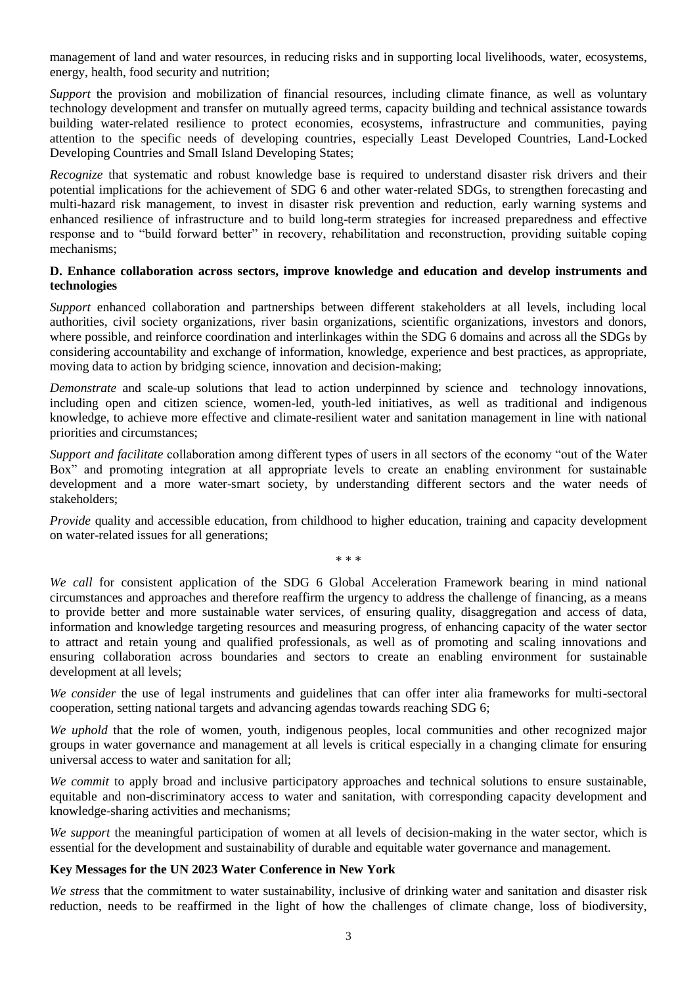management of land and water resources, in reducing risks and in supporting local livelihoods, water, ecosystems, energy, health, food security and nutrition;

*Support* the provision and mobilization of financial resources, including climate finance, as well as voluntary technology development and transfer on mutually agreed terms, capacity building and technical assistance towards building water-related resilience to protect economies, ecosystems, infrastructure and communities, paying attention to the specific needs of developing countries, especially Least Developed Countries, Land-Locked Developing Countries and Small Island Developing States;

*Recognize* that systematic and robust knowledge base is required to understand disaster risk drivers and their potential implications for the achievement of SDG 6 and other water-related SDGs, to strengthen forecasting and multi-hazard risk management, to invest in disaster risk prevention and reduction, early warning systems and enhanced resilience of infrastructure and to build long-term strategies for increased preparedness and effective response and to "build forward better" in recovery, rehabilitation and reconstruction, providing suitable coping mechanisms;

### **D. Enhance collaboration across sectors, improve knowledge and education and develop instruments and technologies**

*Support* enhanced collaboration and partnerships between different stakeholders at all levels, including local authorities, civil society organizations, river basin organizations, scientific organizations, investors and donors, where possible, and reinforce coordination and interlinkages within the SDG 6 domains and across all the SDGs by considering accountability and exchange of information, knowledge, experience and best practices, as appropriate, moving data to action by bridging science, innovation and decision-making;

*Demonstrate* and scale-up solutions that lead to action underpinned by science and technology innovations, including open and citizen science, women-led, youth-led initiatives, as well as traditional and indigenous knowledge, to achieve more effective and climate-resilient water and sanitation management in line with national priorities and circumstances;

*Support and facilitate* collaboration among different types of users in all sectors of the economy "out of the Water Box" and promoting integration at all appropriate levels to create an enabling environment for sustainable development and a more water-smart society, by understanding different sectors and the water needs of stakeholders;

*Provide* quality and accessible education, from childhood to higher education, training and capacity development on water-related issues for all generations;

\* \* \*

*We call* for consistent application of the SDG 6 Global Acceleration Framework bearing in mind national circumstances and approaches and therefore reaffirm the urgency to address the challenge of financing, as a means to provide better and more sustainable water services, of ensuring quality, disaggregation and access of data, information and knowledge targeting resources and measuring progress, of enhancing capacity of the water sector to attract and retain young and qualified professionals, as well as of promoting and scaling innovations and ensuring collaboration across boundaries and sectors to create an enabling environment for sustainable development at all levels;

*We consider* the use of legal instruments and guidelines that can offer inter alia frameworks for multi-sectoral cooperation, setting national targets and advancing agendas towards reaching SDG 6;

*We uphold* that the role of women, youth, indigenous peoples, local communities and other recognized major groups in water governance and management at all levels is critical especially in a changing climate for ensuring universal access to water and sanitation for all;

*We commit* to apply broad and inclusive participatory approaches and technical solutions to ensure sustainable, equitable and non-discriminatory access to water and sanitation, with corresponding capacity development and knowledge-sharing activities and mechanisms;

*We support* the meaningful participation of women at all levels of decision-making in the water sector, which is essential for the development and sustainability of durable and equitable water governance and management.

### **Key Messages for the UN 2023 Water Conference in New York**

*We stress* that the commitment to water sustainability, inclusive of drinking water and sanitation and disaster risk reduction, needs to be reaffirmed in the light of how the challenges of climate change, loss of biodiversity,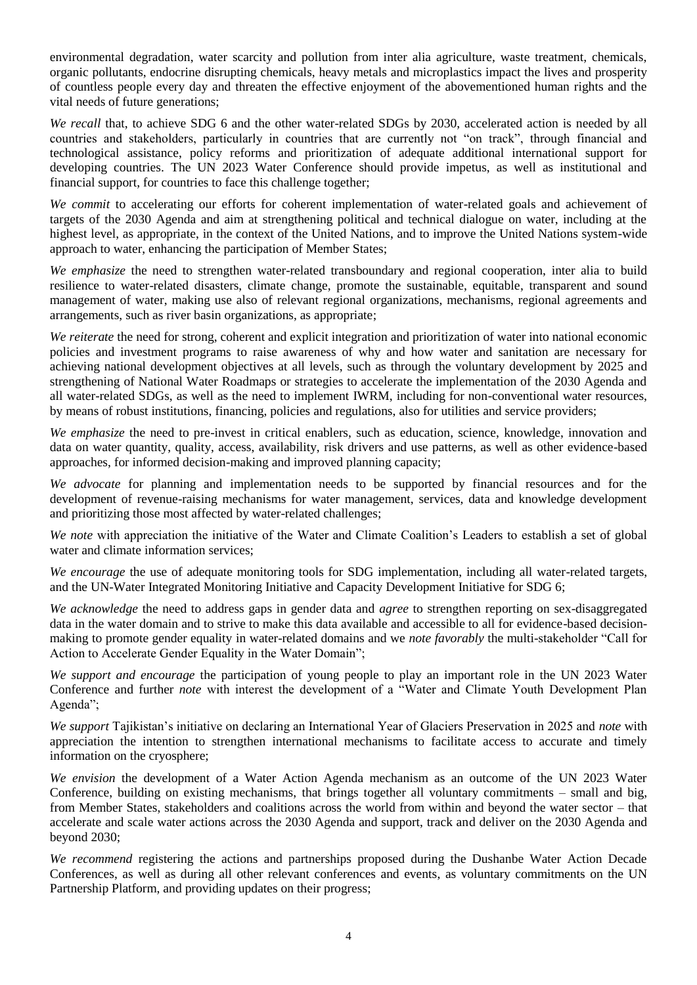environmental degradation, water scarcity and pollution from inter alia agriculture, waste treatment, chemicals, organic pollutants, endocrine disrupting chemicals, heavy metals and microplastics impact the lives and prosperity of countless people every day and threaten the effective enjoyment of the abovementioned human rights and the vital needs of future generations;

*We recall* that, to achieve SDG 6 and the other water-related SDGs by 2030, accelerated action is needed by all countries and stakeholders, particularly in countries that are currently not "on track", through financial and technological assistance, policy reforms and prioritization of adequate additional international support for developing countries. The UN 2023 Water Conference should provide impetus, as well as institutional and financial support, for countries to face this challenge together;

*We commit* to accelerating our efforts for coherent implementation of water-related goals and achievement of targets of the 2030 Agenda and aim at strengthening political and technical dialogue on water, including at the highest level, as appropriate, in the context of the United Nations, and to improve the United Nations system-wide approach to water, enhancing the participation of Member States;

*We emphasize* the need to strengthen water-related transboundary and regional cooperation, inter alia to build resilience to water-related disasters, climate change, promote the sustainable, equitable, transparent and sound management of water, making use also of relevant regional organizations, mechanisms, regional agreements and arrangements, such as river basin organizations, as appropriate;

*We reiterate* the need for strong, coherent and explicit integration and prioritization of water into national economic policies and investment programs to raise awareness of why and how water and sanitation are necessary for achieving national development objectives at all levels, such as through the voluntary development by 2025 and strengthening of National Water Roadmaps or strategies to accelerate the implementation of the 2030 Agenda and all water-related SDGs, as well as the need to implement IWRM, including for non-conventional water resources, by means of robust institutions, financing, policies and regulations, also for utilities and service providers;

*We emphasize* the need to pre-invest in critical enablers, such as education, science, knowledge, innovation and data on water quantity, quality, access, availability, risk drivers and use patterns, as well as other evidence-based approaches, for informed decision-making and improved planning capacity;

*We advocate* for planning and implementation needs to be supported by financial resources and for the development of revenue-raising mechanisms for water management, services, data and knowledge development and prioritizing those most affected by water-related challenges;

*We note* with appreciation the initiative of the Water and Climate Coalition's Leaders to establish a set of global water and climate information services:

*We encourage* the use of adequate monitoring tools for SDG implementation, including all water-related targets, and the UN-Water Integrated Monitoring Initiative and Capacity Development Initiative for SDG 6;

*We acknowledge* the need to address gaps in gender data and *agree* to strengthen reporting on sex-disaggregated data in the water domain and to strive to make this data available and accessible to all for evidence-based decisionmaking to promote gender equality in water-related domains and we *note favorably* the multi-stakeholder "Call for Action to Accelerate Gender Equality in the Water Domain";

*We support and encourage* the participation of young people to play an important role in the UN 2023 Water Conference and further *note* with interest the development of a "Water and Climate Youth Development Plan Agenda";

*We support* Tajikistan's initiative on declaring an International Year of Glaciers Preservation in 2025 and *note* with appreciation the intention to strengthen international mechanisms to facilitate access to accurate and timely information on the cryosphere;

*We envision* the development of a Water Action Agenda mechanism as an outcome of the UN 2023 Water Conference, building on existing mechanisms, that brings together all voluntary commitments – small and big, from Member States, stakeholders and coalitions across the world from within and beyond the water sector – that accelerate and scale water actions across the 2030 Agenda and support, track and deliver on the 2030 Agenda and beyond 2030;

*We recommend* registering the actions and partnerships proposed during the Dushanbe Water Action Decade Conferences, as well as during all other relevant conferences and events, as voluntary commitments on the UN Partnership Platform, and providing updates on their progress;